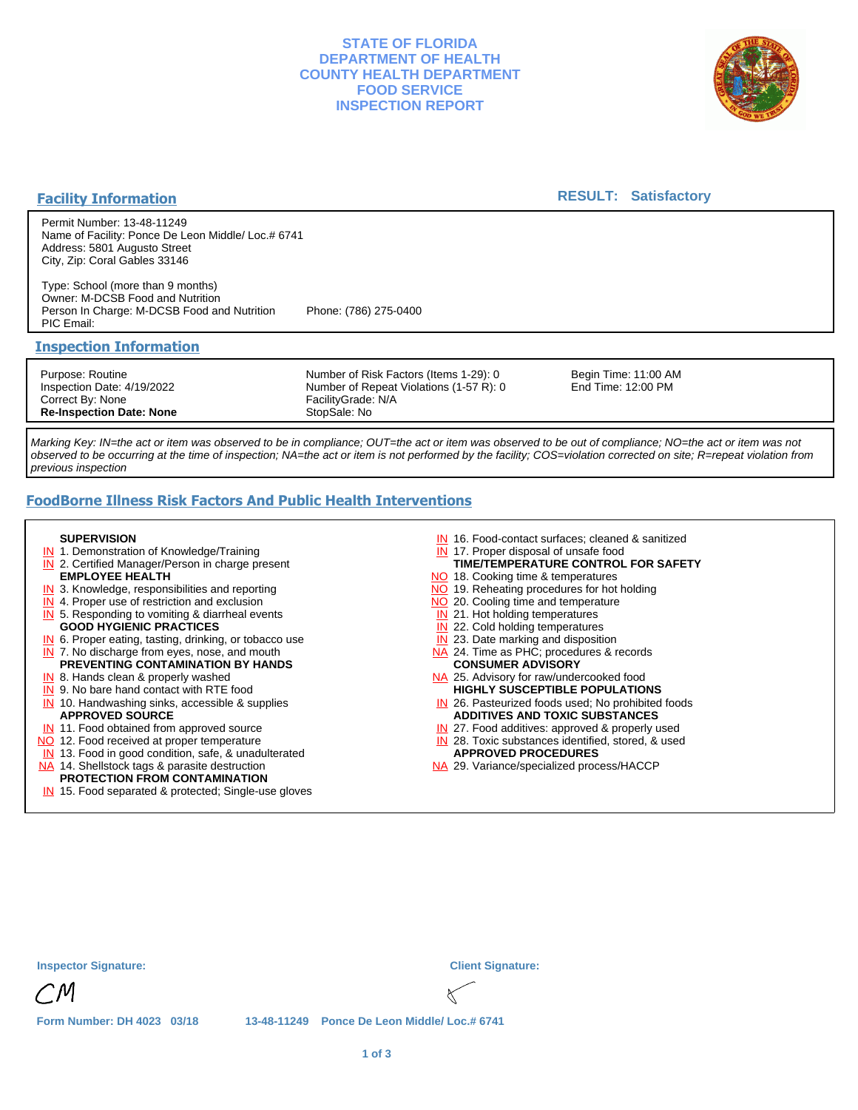### **STATE OF FLORIDA DEPARTMENT OF HEALTH COUNTY HEALTH DEPARTMENT FOOD SERVICE INSPECTION REPORT**



#### **Facility Information**

#### **RESULT: Satisfactory**

Permit Number: 13-48-11249 Name of Facility: Ponce De Leon Middle/ Loc.# 6741 Address: 5801 Augusto Street City, Zip: Coral Gables 33146

Type: School (more than 9 months) Owner: M-DCSB Food and Nutrition Person In Charge: M-DCSB Food and Nutrition Phone: (786) 275-0400 PIC Email:

#### **Inspection Information**

Purpose: Routine Inspection Date: 4/19/2022 Correct By: None **Re-Inspection Date: None**

Number of Risk Factors (Items 1-29): 0 Number of Repeat Violations (1-57 R): 0 FacilityGrade: N/A StopSale: No

Begin Time: 11:00 AM End Time: 12:00 PM

Marking Key: IN=the act or item was observed to be in compliance; OUT=the act or item was observed to be out of compliance; NO=the act or item was not observed to be occurring at the time of inspection; NA=the act or item is not performed by the facility; COS=violation corrected on site; R=repeat violation from previous inspection

# **FoodBorne Illness Risk Factors And Public Health Interventions**

#### **SUPERVISION**

- **IN** 1. Demonstration of Knowledge/Training
- **IN** 2. Certified Manager/Person in charge present **EMPLOYEE HEALTH**
- **IN** 3. Knowledge, responsibilities and reporting
- **IN** 4. Proper use of restriction and exclusion
- **IN** 5. Responding to vomiting & diarrheal events
- **GOOD HYGIENIC PRACTICES**
- **IN** 6. Proper eating, tasting, drinking, or tobacco use **IN** 7. No discharge from eyes, nose, and mouth
- **PREVENTING CONTAMINATION BY HANDS**
- IN 8. Hands clean & properly washed
- **IN** 9. No bare hand contact with RTE food IN 10. Handwashing sinks, accessible & supplies **APPROVED SOURCE**
- **IN** 11. Food obtained from approved source
- NO 12. Food received at proper temperature
- IN 13. Food in good condition, safe, & unadulterated
- NA 14. Shellstock tags & parasite destruction

# **PROTECTION FROM CONTAMINATION**

IN 15. Food separated & protected; Single-use gloves

- IN 16. Food-contact surfaces; cleaned & sanitized
- IN 17. Proper disposal of unsafe food
- NO 18. Cooking time & temperatures **TIME/TEMPERATURE CONTROL FOR SAFETY**
- NO 19. Reheating procedures for hot holding
- NO 20. Cooling time and temperature
- IN 21. Hot holding temperatures
- **IN** 22. Cold holding temperatures
- **IN** 23. Date marking and disposition
- NA 24. Time as PHC; procedures & records **CONSUMER ADVISORY**
- NA 25. Advisory for raw/undercooked food **HIGHLY SUSCEPTIBLE POPULATIONS**
- IN 26. Pasteurized foods used; No prohibited foods **ADDITIVES AND TOXIC SUBSTANCES**
- IN 27. Food additives: approved & properly used
- IN 28. Toxic substances identified, stored, & used **APPROVED PROCEDURES**
- NA 29. Variance/specialized process/HACCP

| <b>Inspector Signature:</b> |  |                                               | <b>Client Signature:</b> |
|-----------------------------|--|-----------------------------------------------|--------------------------|
| CM                          |  |                                               |                          |
| Form Number: DH 4023 03/18  |  | 13-48-11249  Ponce De Leon Middle/ Loc.# 6741 |                          |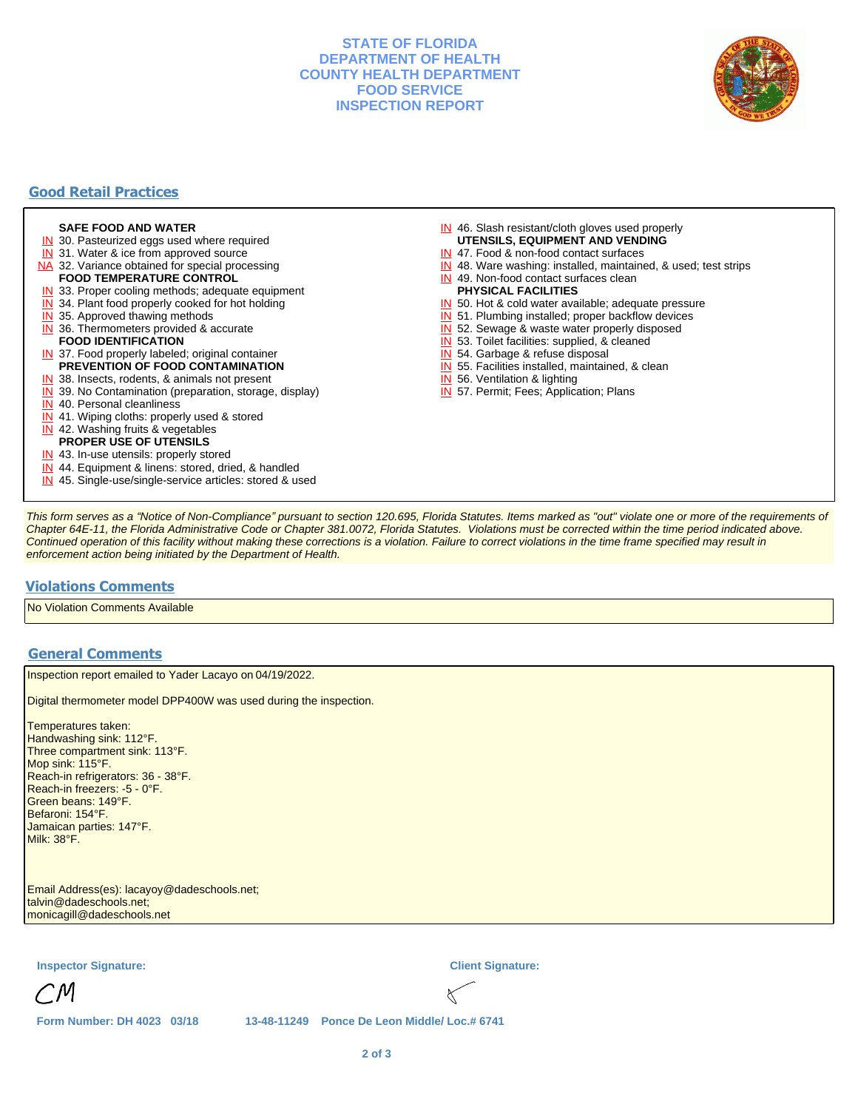#### **STATE OF FLORIDA DEPARTMENT OF HEALTH COUNTY HEALTH DEPARTMENT FOOD SERVICE INSPECTION REPORT**



## **Good Retail Practices**

#### **SAFE FOOD AND WATER**

- **IN** 30. Pasteurized eggs used where required
- IN 31. Water & ice from approved source
- NA 32. Variance obtained for special processing **FOOD TEMPERATURE CONTROL**
- 
- **IN** 33. Proper cooling methods; adequate equipment
- **IN** 34. Plant food properly cooked for hot holding
- **IN** 35. Approved thawing methods
- IN 36. Thermometers provided & accurate **FOOD IDENTIFICATION**
- IN 37. Food properly labeled; original container **PREVENTION OF FOOD CONTAMINATION**
- IN 38. Insects, rodents, & animals not present
- **IN** 39. No Contamination (preparation, storage, display)
- IN 40. Personal cleanliness
- IN 41. Wiping cloths: properly used & stored
- IN 42. Washing fruits & vegetables
- **PROPER USE OF UTENSILS**
- IN 43. In-use utensils: properly stored
- IN 44. Equipment & linens: stored, dried, & handled
- IN 45. Single-use/single-service articles: stored & used
- IN 46. Slash resistant/cloth gloves used properly **UTENSILS, EQUIPMENT AND VENDING**
- IN 47. Food & non-food contact surfaces
- IN 48. Ware washing: installed, maintained, & used; test strips
- IN 49. Non-food contact surfaces clean
- **PHYSICAL FACILITIES**
- IN 50. Hot & cold water available; adequate pressure
- IN 51. Plumbing installed; proper backflow devices
- IN 52. Sewage & waste water properly disposed
- IN 53. Toilet facilities: supplied, & cleaned
- IN 54. Garbage & refuse disposal
- IN 55. Facilities installed, maintained, & clean
- IN 56. Ventilation & lighting
- IN 57. Permit; Fees; Application; Plans

This form serves as a "Notice of Non-Compliance" pursuant to section 120.695, Florida Statutes. Items marked as "out" violate one or more of the requirements of Chapter 64E-11, the Florida Administrative Code or Chapter 381.0072, Florida Statutes. Violations must be corrected within the time period indicated above. Continued operation of this facility without making these corrections is a violation. Failure to correct violations in the time frame specified may result in enforcement action being initiated by the Department of Health.

### **Violations Comments**

No Violation Comments Available

#### **General Comments**

Inspection report emailed to Yader Lacayo on 04/19/2022.

Digital thermometer model DPP400W was used during the inspection.

Temperatures taken: Handwashing sink: 112°F. Three compartment sink: 113°F. Mop sink: 115°F. Reach-in refrigerators: 36 - 38°F. Reach-in freezers: -5 - 0°F. Green beans: 149°F. Befaroni: 154°F. Jamaican parties: 147°F. Milk: 38°F.

Email Address(es): lacayoy@dadeschools.net; talvin@dadeschools.net; monicagill@dadeschools.net

**Inspector Signature: Client Signature:**

**Form Number: DH 4023 03/18 13-48-11249 Ponce De Leon Middle/ Loc.# 6741**